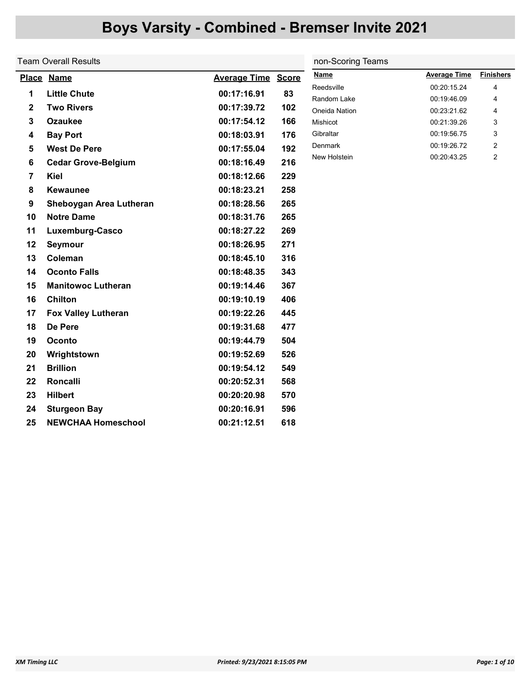|              | <b>Team Overall Results</b> | non-Scoring Teams   |              |                           |                            |                  |
|--------------|-----------------------------|---------------------|--------------|---------------------------|----------------------------|------------------|
|              | Place Name                  | <b>Average Time</b> | <b>Score</b> | <b>Name</b>               | <b>Average Time</b>        | <b>Finishers</b> |
| 1            | <b>Little Chute</b>         | 00:17:16.91         | 83           | Reedsville                | 00:20:15.24                | 4                |
| $\mathbf{2}$ | <b>Two Rivers</b>           | 00:17:39.72         | 102          | Random Lake               | 00:19:46.09                | 4                |
| $\mathbf{3}$ | <b>Ozaukee</b>              | 00:17:54.12         | 166          | Oneida Nation<br>Mishicot | 00:23:21.62<br>00:21:39.26 | 4<br>3           |
| 4            | <b>Bay Port</b>             | 00:18:03.91         | 176          | Gibraltar                 | 00:19:56.75                | 3                |
| 5            | <b>West De Pere</b>         | 00:17:55.04         | 192          | Denmark                   | 00:19:26.72                | 2                |
| 6            | <b>Cedar Grove-Belgium</b>  | 00:18:16.49         | 216          | New Holstein              | 00:20:43.25                | $\overline{2}$   |
| 7            | Kiel                        | 00:18:12.66         | 229          |                           |                            |                  |
| 8            | <b>Kewaunee</b>             | 00:18:23.21         | 258          |                           |                            |                  |
|              |                             |                     |              |                           |                            |                  |
| 9            | Sheboygan Area Lutheran     | 00:18:28.56         | 265          |                           |                            |                  |
| 10           | <b>Notre Dame</b>           | 00:18:31.76         | 265          |                           |                            |                  |
| 11           | Luxemburg-Casco             | 00:18:27.22         | 269          |                           |                            |                  |
| 12           | Seymour                     | 00:18:26.95         | 271          |                           |                            |                  |
| 13           | Coleman                     | 00:18:45.10         | 316          |                           |                            |                  |
| 14           | <b>Oconto Falls</b>         | 00:18:48.35         | 343          |                           |                            |                  |
| 15           | <b>Manitowoc Lutheran</b>   | 00:19:14.46         | 367          |                           |                            |                  |
| 16           | <b>Chilton</b>              | 00:19:10.19         | 406          |                           |                            |                  |
| 17           | <b>Fox Valley Lutheran</b>  | 00:19:22.26         | 445          |                           |                            |                  |
| 18           | De Pere                     | 00:19:31.68         | 477          |                           |                            |                  |
| 19           | Oconto                      | 00:19:44.79         | 504          |                           |                            |                  |
| 20           | Wrightstown                 | 00:19:52.69         | 526          |                           |                            |                  |
| 21           | <b>Brillion</b>             | 00:19:54.12         | 549          |                           |                            |                  |
| 22           | Roncalli                    | 00:20:52.31         | 568          |                           |                            |                  |
| 23           | <b>Hilbert</b>              | 00:20:20.98         | 570          |                           |                            |                  |
| 24           | <b>Sturgeon Bay</b>         | 00:20:16.91         | 596          |                           |                            |                  |

25 NEWCHAA Homeschool 00:21:12.51 618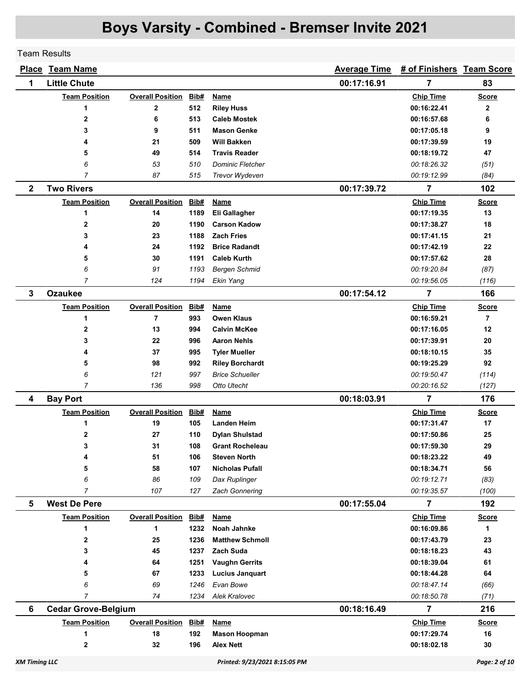Team Results

|                      | <b>Place Team Name</b>     |                         |      |                               | <b>Average Time</b> | # of Finishers Team Score |                |
|----------------------|----------------------------|-------------------------|------|-------------------------------|---------------------|---------------------------|----------------|
| 1                    | <b>Little Chute</b>        |                         |      |                               | 00:17:16.91         | 7                         | 83             |
|                      | <b>Team Position</b>       | <b>Overall Position</b> | Bib# | <b>Name</b>                   |                     | <b>Chip Time</b>          | <b>Score</b>   |
|                      | 1                          | $\mathbf 2$             | 512  | <b>Riley Huss</b>             |                     | 00:16:22.41               | $\mathbf{2}$   |
|                      | 2                          | 6                       | 513  | <b>Caleb Mostek</b>           |                     | 00:16:57.68               | 6              |
|                      | 3                          | 9                       | 511  | <b>Mason Genke</b>            |                     | 00:17:05.18               | 9              |
|                      | 4                          | 21                      | 509  | <b>Will Bakken</b>            |                     | 00:17:39.59               | 19             |
|                      | 5                          | 49                      | 514  | <b>Travis Reader</b>          |                     | 00:18:19.72               | 47             |
|                      | 6                          | 53                      | 510  | <b>Dominic Fletcher</b>       |                     | 00:18:26.32               | (51)           |
|                      | 7                          | 87                      | 515  | Trevor Wydeven                |                     | 00:19:12.99               | (84)           |
| $\mathbf{2}$         | <b>Two Rivers</b>          |                         |      |                               | 00:17:39.72         | 7                         | 102            |
|                      | <b>Team Position</b>       | <b>Overall Position</b> | Bib# | Name                          |                     | <b>Chip Time</b>          | <b>Score</b>   |
|                      | 1                          | 14                      | 1189 | Eli Gallagher                 |                     | 00:17:19.35               | 13             |
|                      | 2                          | 20                      | 1190 | <b>Carson Kadow</b>           |                     | 00:17:38.27               | 18             |
|                      | 3                          | 23                      | 1188 | <b>Zach Fries</b>             |                     | 00:17:41.15               | 21             |
|                      | 4                          | 24                      | 1192 | <b>Brice Radandt</b>          |                     | 00:17:42.19               | 22             |
|                      | 5                          | 30                      | 1191 | <b>Caleb Kurth</b>            |                     | 00:17:57.62               | 28             |
|                      | 6                          | 91                      | 1193 | <b>Bergen Schmid</b>          |                     | 00:19:20.84               | (87)           |
|                      | 7                          | 124                     | 1194 | Ekin Yang                     |                     | 00:19:56.05               | (116)          |
| 3                    | <b>Ozaukee</b>             |                         |      |                               | 00:17:54.12         | 7                         | 166            |
|                      | <b>Team Position</b>       | <b>Overall Position</b> | Bib# | <b>Name</b>                   |                     | <b>Chip Time</b>          | <b>Score</b>   |
|                      | 1                          | 7                       | 993  | <b>Owen Klaus</b>             |                     | 00:16:59.21               | $\overline{7}$ |
|                      | 2                          | 13                      | 994  | <b>Calvin McKee</b>           |                     | 00:17:16.05               | 12             |
|                      | 3                          | 22                      | 996  | <b>Aaron Nehls</b>            |                     | 00:17:39.91               | 20             |
|                      | 4                          | 37                      | 995  | <b>Tyler Mueller</b>          |                     | 00:18:10.15               | 35             |
|                      | 5                          | 98                      | 992  | <b>Riley Borchardt</b>        |                     | 00:19:25.29               | 92             |
|                      | 6                          | 121                     | 997  | <b>Brice Schueller</b>        |                     | 00:19:50.47               | (114)          |
|                      | $\overline{7}$             | 136                     | 998  | Otto Utecht                   |                     | 00:20:16.52               | (127)          |
| 4                    | <b>Bay Port</b>            |                         |      |                               | 00:18:03.91         | $\overline{7}$            | 176            |
|                      | <b>Team Position</b>       | <b>Overall Position</b> | Bib# | <b>Name</b>                   |                     | <b>Chip Time</b>          | <b>Score</b>   |
|                      | 1                          | 19                      | 105  | <b>Landen Heim</b>            |                     | 00:17:31.47               | 17             |
|                      | 2                          | 27                      | 110  | <b>Dylan Shulstad</b>         |                     | 00:17:50.86               | 25             |
|                      | 3                          | 31                      | 108  | <b>Grant Rocheleau</b>        |                     | 00:17:59.30               | 29             |
|                      | 4                          | 51                      | 106  | <b>Steven North</b>           |                     | 00:18:23.22               | 49             |
|                      | 5                          | 58                      | 107  | <b>Nicholas Pufall</b>        |                     | 00:18:34.71               | 56             |
|                      | 6                          | 86                      | 109  | Dax Ruplinger                 |                     | 00:19:12.71               | (83)           |
|                      | $\overline{7}$             | 107                     | 127  | <b>Zach Gonnering</b>         |                     | 00:19:35.57               | (100)          |
| 5                    | <b>West De Pere</b>        |                         |      |                               | 00:17:55.04         | 7                         | 192            |
|                      | <b>Team Position</b>       | <b>Overall Position</b> | Bib# | <b>Name</b>                   |                     | <b>Chip Time</b>          | <b>Score</b>   |
|                      | 1                          | 1                       | 1232 | <b>Noah Jahnke</b>            |                     | 00:16:09.86               | 1              |
|                      | 2                          | 25                      | 1236 | <b>Matthew Schmoll</b>        |                     | 00:17:43.79               | 23             |
|                      | 3                          | 45                      | 1237 | <b>Zach Suda</b>              |                     | 00:18:18.23               | 43             |
|                      | 4                          | 64                      | 1251 | <b>Vaughn Gerrits</b>         |                     | 00:18:39.04               | 61             |
|                      | 5                          | 67                      | 1233 | <b>Lucius Janquart</b>        |                     | 00:18:44.28               | 64             |
|                      | 6                          | 69                      | 1246 | Evan Bowe                     |                     | 00:18:47.14               | (66)           |
|                      | 7                          | 74                      | 1234 | <b>Alek Kralovec</b>          |                     | 00:18:50.78               | (71)           |
| 6                    | <b>Cedar Grove-Belgium</b> |                         |      |                               | 00:18:16.49         | 7                         | 216            |
|                      | <b>Team Position</b>       | <b>Overall Position</b> | Bib# | Name                          |                     | <b>Chip Time</b>          | <b>Score</b>   |
|                      | 1                          | 18                      | 192  | <b>Mason Hoopman</b>          |                     | 00:17:29.74               | 16             |
|                      | 2                          | 32                      | 196  | <b>Alex Nett</b>              |                     | 00:18:02.18               | 30             |
| <b>XM Timing LLC</b> |                            |                         |      | Printed: 9/23/2021 8:15:05 PM |                     |                           | Page: 2 of 10  |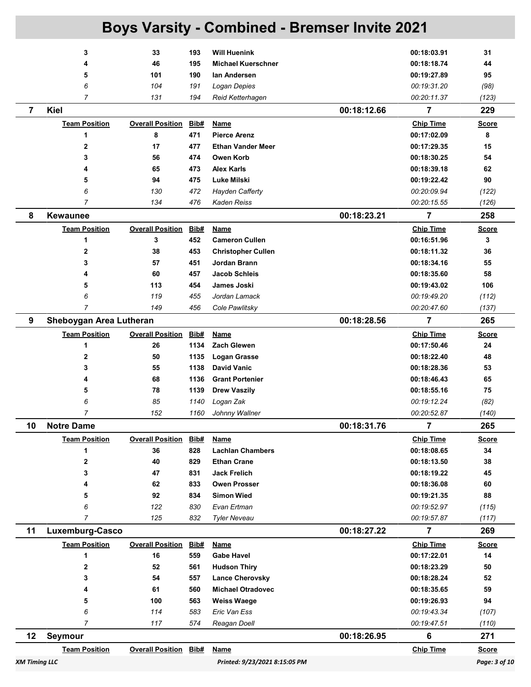| <b>Boys Varsity - Combined - Bremser Invite 2021</b>  |                           |                               |             |                                                  |             |                                 |                    |  |
|-------------------------------------------------------|---------------------------|-------------------------------|-------------|--------------------------------------------------|-------------|---------------------------------|--------------------|--|
|                                                       |                           |                               |             |                                                  |             |                                 |                    |  |
|                                                       | 3<br>4                    | 33<br>46                      | 193<br>195  | <b>Will Huenink</b><br><b>Michael Kuerschner</b> |             | 00:18:03.91<br>00:18:18.74      | 31<br>44           |  |
|                                                       | 5                         | 101                           | 190         | lan Andersen                                     |             | 00:19:27.89                     | 95                 |  |
|                                                       | 6                         | 104                           | 191         | Logan Depies                                     |             | 00:19:31.20                     | (98)               |  |
|                                                       | $\overline{7}$            | 131                           | 194         | Reid Ketterhagen                                 |             | 00:20:11.37                     | (123)              |  |
| $\overline{7}$                                        | Kiel                      |                               |             |                                                  | 00:18:12.66 | $\overline{7}$                  | 229                |  |
|                                                       | <b>Team Position</b>      | <b>Overall Position</b>       | Bib#        | Name                                             |             | <b>Chip Time</b>                | <b>Score</b>       |  |
|                                                       | 1                         | 8                             | 471         | <b>Pierce Arenz</b>                              |             | 00:17:02.09                     | 8                  |  |
|                                                       | $\overline{2}$            | 17                            | 477         | <b>Ethan Vander Meer</b>                         |             | 00:17:29.35                     | 15                 |  |
|                                                       | 3                         | 56                            | 474         | Owen Korb                                        |             | 00:18:30.25                     | 54                 |  |
|                                                       | 4                         | 65                            | 473         | <b>Alex Karls</b>                                |             | 00:18:39.18                     | 62                 |  |
|                                                       | 5                         | 94                            | 475         | Luke Milski                                      |             | 00:19:22.42                     | 90                 |  |
|                                                       | 6                         | 130                           | 472         | <b>Hayden Cafferty</b>                           |             | 00:20:09.94                     | (122)              |  |
|                                                       | 7                         | 134                           | 476         | Kaden Reiss                                      |             | 00:20:15.55                     | (126)              |  |
| 8                                                     | <b>Kewaunee</b>           |                               |             |                                                  | 00:18:23.21 | $\overline{7}$                  | 258                |  |
|                                                       | <b>Team Position</b>      | <b>Overall Position</b>       | Bib#        | <b>Name</b>                                      |             | <b>Chip Time</b>                | <u>Score</u>       |  |
|                                                       | 1                         | 3                             | 452         | <b>Cameron Cullen</b>                            |             | 00:16:51.96                     | 3                  |  |
|                                                       | 2                         | 38                            | 453         | <b>Christopher Cullen</b>                        |             | 00:18:11.32                     | 36                 |  |
|                                                       | 3                         | 57                            | 451         | Jordan Brann                                     |             | 00:18:34.16                     | 55                 |  |
|                                                       | 4                         | 60                            | 457         | <b>Jacob Schleis</b>                             |             | 00:18:35.60                     | 58                 |  |
|                                                       | 5                         | 113                           | 454         | James Joski                                      |             | 00:19:43.02                     | 106                |  |
|                                                       | 6                         | 119                           | 455         | Jordan Lamack                                    |             | 00:19:49.20                     | (112)              |  |
|                                                       | $\overline{7}$            | 149                           | 456         | Cole Pawlitsky                                   |             | 00:20:47.60                     | (137)              |  |
| 9                                                     | Sheboygan Area Lutheran   |                               |             |                                                  | 00:18:28.56 | 7                               | 265                |  |
|                                                       | <b>Team Position</b>      | <b>Overall Position</b>       | Bib#        | <b>Name</b>                                      |             | <b>Chip Time</b>                | <u>Score</u>       |  |
|                                                       | 1                         | 26                            | 1134        | <b>Zach Glewen</b>                               |             | 00:17:50.46                     | 24                 |  |
|                                                       | 2                         | 50                            | 1135        | <b>Logan Grasse</b>                              |             | 00:18:22.40                     | 48                 |  |
|                                                       | 3                         | 55                            | 1138        | <b>David Vanic</b>                               |             | 00:18:28.36                     | 53                 |  |
|                                                       | 4                         | 68                            | 1136        | <b>Grant Portenier</b>                           |             | 00:18:46.43                     | 65                 |  |
|                                                       | 5                         | 78                            | 1139        | <b>Drew Vaszily</b>                              |             | 00:18:55.16                     | 75                 |  |
|                                                       | 6                         | 85                            | 1140        | Logan Zak                                        |             | 00:19:12.24                     | (82)               |  |
|                                                       | 7                         | 152                           | 1160        | Johnny Wallner                                   |             | 00:20:52.87                     | (140)              |  |
| 10                                                    | <b>Notre Dame</b>         |                               |             |                                                  | 00:18:31.76 | $\overline{7}$                  | 265                |  |
|                                                       | <b>Team Position</b>      | <b>Overall Position</b>       | Bib#        | <b>Name</b>                                      |             | <b>Chip Time</b>                | <b>Score</b>       |  |
|                                                       | 1                         | 36                            | 828         | <b>Lachlan Chambers</b>                          |             | 00:18:08.65                     | 34                 |  |
|                                                       | 2                         | 40                            | 829         | <b>Ethan Crane</b>                               |             | 00:18:13.50                     | 38                 |  |
|                                                       | 3                         | 47                            | 831         | <b>Jack Frelich</b>                              |             | 00:18:19.22                     | 45                 |  |
|                                                       | 4                         | 62                            | 833         | <b>Owen Prosser</b>                              |             | 00:18:36.08                     | 60                 |  |
|                                                       | 5                         | 92                            | 834         | <b>Simon Wied</b><br>Evan Ertman                 |             | 00:19:21.35                     | 88                 |  |
|                                                       | 6<br>$\overline{7}$       | 122<br>125                    | 830<br>832  | <b>Tyler Neveau</b>                              |             | 00:19:52.97<br>00:19:57.87      | (115)<br>(117)     |  |
| 11                                                    | Luxemburg-Casco           |                               |             |                                                  | 00:18:27.22 | 7                               | 269                |  |
|                                                       |                           |                               |             |                                                  |             |                                 |                    |  |
|                                                       | <b>Team Position</b><br>1 | <b>Overall Position</b><br>16 | Bib#<br>559 | Name<br><b>Gabe Havel</b>                        |             | <b>Chip Time</b><br>00:17:22.01 | <b>Score</b><br>14 |  |
|                                                       | 2                         | 52                            | 561         | <b>Hudson Thiry</b>                              |             | 00:18:23.29                     | 50                 |  |
|                                                       | 3                         | 54                            | 557         | <b>Lance Cherovsky</b>                           |             | 00:18:28.24                     | 52                 |  |
|                                                       | 4                         | 61                            | 560         | <b>Michael Otradovec</b>                         |             | 00:18:35.65                     | 59                 |  |
|                                                       | 5                         | 100                           | 563         | <b>Weiss Waege</b>                               |             | 00:19:26.93                     | 94                 |  |
|                                                       | 6                         | 114                           | 583         | Eric Van Ess                                     |             | 00:19:43.34                     | (107)              |  |
|                                                       | $\overline{7}$            | 117                           | 574         | Reagan Doell                                     |             | 00:19:47.51                     | (110)              |  |
| 12                                                    | <b>Seymour</b>            |                               |             |                                                  | 00:18:26.95 | 6                               | 271                |  |
|                                                       | <b>Team Position</b>      | <b>Overall Position Bib#</b>  |             | Name                                             |             | <b>Chip Time</b>                | <b>Score</b>       |  |
| <b>XM Timing LLC</b><br>Printed: 9/23/2021 8:15:05 PM |                           |                               |             |                                                  |             |                                 | Page: 3 of 10      |  |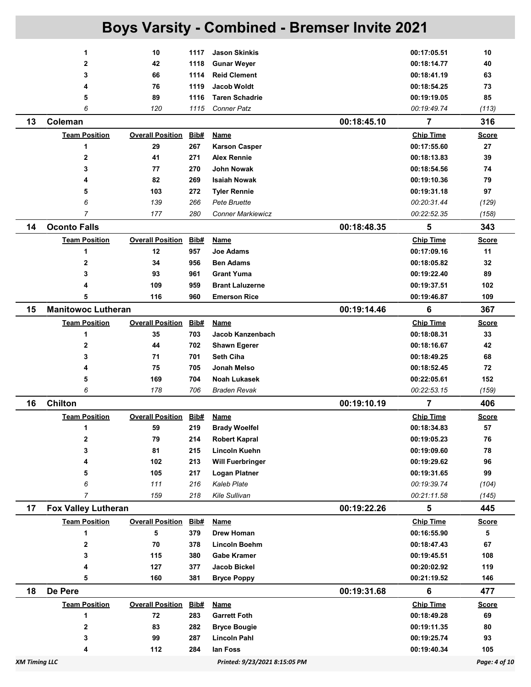|    |                                                                        |                         |            | <b>Boys Varsity - Combined - Bremser Invite 2021</b> |             |                            |              |
|----|------------------------------------------------------------------------|-------------------------|------------|------------------------------------------------------|-------------|----------------------------|--------------|
|    | 1                                                                      | 10                      | 1117       | <b>Jason Skinkis</b>                                 |             | 00:17:05.51                | 10           |
|    | 2                                                                      | 42                      | 1118       | <b>Gunar Weyer</b>                                   |             | 00:18:14.77                | 40           |
|    | 3                                                                      | 66                      | 1114       | <b>Reid Clement</b>                                  |             | 00:18:41.19                | 63           |
|    | 4                                                                      | 76                      | 1119       | Jacob Woldt                                          |             | 00:18:54.25                | 73           |
|    | 5                                                                      | 89                      | 1116       | <b>Taren Schadrie</b>                                |             | 00:19:19.05                | 85           |
|    | 6                                                                      | 120                     | 1115       | <b>Conner Patz</b>                                   |             | 00:19:49.74                | (113)        |
| 13 | Coleman                                                                |                         |            |                                                      | 00:18:45.10 | $\overline{7}$             | 316          |
|    | <b>Team Position</b>                                                   | <b>Overall Position</b> | Bib#       | <b>Name</b>                                          |             | <b>Chip Time</b>           | <u>Score</u> |
|    | 1                                                                      | 29                      | 267        | <b>Karson Casper</b>                                 |             | 00:17:55.60                | 27           |
|    | 2                                                                      | 41                      | 271        | <b>Alex Rennie</b>                                   |             | 00:18:13.83                | 39           |
|    | 3                                                                      | 77                      | 270        | John Nowak                                           |             | 00:18:54.56                | 74           |
|    | 4                                                                      | 82                      | 269        | <b>Isaiah Nowak</b>                                  |             | 00:19:10.36                | 79           |
|    | 5                                                                      | 103                     | 272        | <b>Tyler Rennie</b>                                  |             | 00:19:31.18                | 97           |
|    | 6                                                                      | 139                     | 266        | Pete Bruette                                         |             | 00:20:31.44                | (129)        |
|    | $\overline{7}$                                                         | 177                     | 280        | <b>Conner Markiewicz</b>                             |             | 00:22:52.35                | (158)        |
| 14 | <b>Oconto Falls</b>                                                    |                         |            |                                                      | 00:18:48.35 | 5                          | 343          |
|    | <b>Team Position</b>                                                   | <b>Overall Position</b> | Bib#       | <u>Name</u>                                          |             | <b>Chip Time</b>           | <b>Score</b> |
|    | 1                                                                      | 12                      | 957        | <b>Joe Adams</b>                                     |             | 00:17:09.16                | 11           |
|    | 2                                                                      | 34                      | 956        | <b>Ben Adams</b>                                     |             | 00:18:05.82                | 32           |
|    | 3                                                                      | 93                      | 961        | <b>Grant Yuma</b>                                    |             | 00:19:22.40                | 89           |
|    | 4                                                                      | 109                     | 959        | <b>Brant Laluzerne</b>                               |             | 00:19:37.51                | 102          |
|    | 5                                                                      | 116                     | 960        | <b>Emerson Rice</b>                                  |             | 00:19:46.87                | 109          |
| 15 | <b>Manitowoc Lutheran</b>                                              |                         |            |                                                      | 00:19:14.46 | 6                          | 367          |
|    | <b>Team Position</b>                                                   | <b>Overall Position</b> | Bib#       | <b>Name</b>                                          |             | <b>Chip Time</b>           | <b>Score</b> |
|    | 1                                                                      | 35                      | 703        | Jacob Kanzenbach                                     |             | 00:18:08.31                | 33           |
|    | 2                                                                      | 44                      | 702        | <b>Shawn Egerer</b>                                  |             | 00:18:16.67                | 42           |
|    | 3                                                                      | 71                      | 701        | <b>Seth Ciha</b>                                     |             | 00:18:49.25                | 68           |
|    | 4                                                                      | 75                      | 705        | Jonah Melso                                          |             | 00:18:52.45                | 72           |
|    | 5                                                                      | 169                     | 704        | <b>Noah Lukasek</b>                                  |             | 00:22:05.61                | 152          |
|    | 6                                                                      | 178                     | 706        | <b>Braden Revak</b>                                  |             | 00:22:53.15                | (159)        |
| 16 | <b>Chilton</b>                                                         |                         |            |                                                      | 00:19:10.19 | 7                          | 406          |
|    | <b>Team Position</b>                                                   | <b>Overall Position</b> | Bib#       | <b>Name</b>                                          |             | <b>Chip Time</b>           | <b>Score</b> |
|    | 1                                                                      | 59                      | 219        | <b>Brady Woelfel</b>                                 |             | 00:18:34.83                | 57           |
|    | 2                                                                      | 79                      | 214        | <b>Robert Kapral</b>                                 |             | 00:19:05.23                | 76           |
|    | 3<br>4                                                                 | 81<br>102               | 215<br>213 | <b>Lincoln Kuehn</b>                                 |             | 00:19:09.60<br>00:19:29.62 | 78<br>96     |
|    | 5                                                                      | 105                     | 217        | <b>Will Fuerbringer</b><br><b>Logan Platner</b>      |             | 00:19:31.65                | 99           |
|    | 6                                                                      | 111                     | 216        | <b>Kaleb Plate</b>                                   |             | 00:19:39.74                | (104)        |
|    | 7                                                                      | 159                     | 218        | Kile Sullivan                                        |             | 00:21:11.58                | (145)        |
| 17 | <b>Fox Valley Lutheran</b>                                             |                         |            |                                                      | 00:19:22.26 | 5                          | 445          |
|    | <b>Team Position</b>                                                   | <b>Overall Position</b> | Bib#       | <b>Name</b>                                          |             | <b>Chip Time</b>           | <b>Score</b> |
|    | 1                                                                      | 5                       | 379        | Drew Homan                                           |             | 00:16:55.90                | 5            |
|    | 2                                                                      | 70                      | 378        | Lincoln Boehm                                        |             | 00:18:47.43                | 67           |
|    | 3                                                                      | 115                     | 380        | <b>Gabe Kramer</b>                                   |             | 00:19:45.51                | 108          |
|    | 4                                                                      | 127                     | 377        | Jacob Bickel                                         |             | 00:20:02.92                | 119          |
|    | 5                                                                      | 160                     | 381        | <b>Bryce Poppy</b>                                   |             | 00:21:19.52                | 146          |
| 18 | De Pere                                                                |                         |            |                                                      | 00:19:31.68 | 6                          | 477          |
|    | <b>Team Position</b>                                                   | <b>Overall Position</b> | Bib#       | <b>Name</b>                                          |             | <b>Chip Time</b>           | <b>Score</b> |
|    | 1                                                                      | 72                      | 283        | <b>Garrett Foth</b>                                  |             | 00:18:49.28                | 69           |
|    | 2                                                                      | 83                      | 282        | <b>Bryce Bougie</b>                                  |             | 00:19:11.35                | 80           |
|    | 3                                                                      | 99                      | 287        | <b>Lincoln Pahl</b>                                  |             | 00:19:25.74                | 93           |
|    | 4                                                                      | 112                     | 284        | lan Foss                                             |             | 00:19:40.34                | 105          |
|    | Page: 4 of 10<br><b>XM Timing LLC</b><br>Printed: 9/23/2021 8:15:05 PM |                         |            |                                                      |             |                            |              |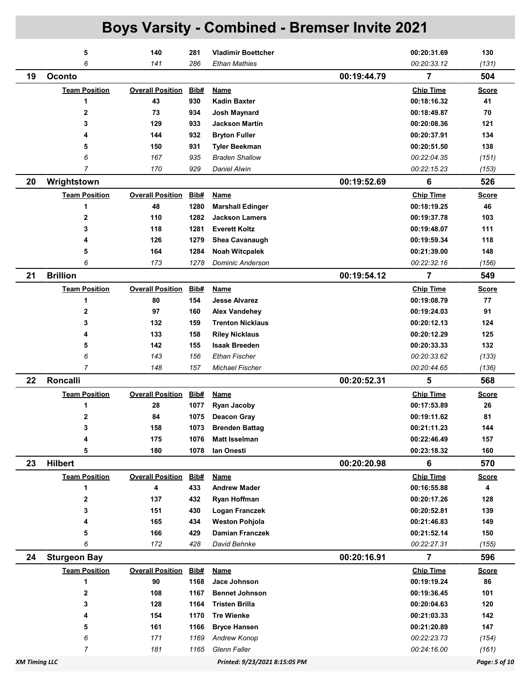|                      | 5                    | 140                     | 281  | <b>Vladimir Boettcher</b>     |             | 00:20:31.69      | 130           |
|----------------------|----------------------|-------------------------|------|-------------------------------|-------------|------------------|---------------|
|                      | 6                    | 141                     | 286  | Ethan Mathies                 |             | 00:20:33.12      | (131)         |
| 19                   | <b>Oconto</b>        |                         |      |                               | 00:19:44.79 | $\overline{7}$   | 504           |
|                      | <b>Team Position</b> | <b>Overall Position</b> | Bib# | Name                          |             | <b>Chip Time</b> | <b>Score</b>  |
|                      | 1                    | 43                      | 930  | <b>Kadin Baxter</b>           |             | 00:18:16.32      | 41            |
|                      | $\overline{2}$       | 73                      | 934  | Josh Maynard                  |             | 00:18:49.87      | 70            |
|                      | 3                    | 129                     | 933  | <b>Jackson Martin</b>         |             | 00:20:08.36      | 121           |
|                      | 4                    | 144                     | 932  | <b>Bryton Fuller</b>          |             | 00:20:37.91      | 134           |
|                      | 5                    | 150                     | 931  | <b>Tyler Beekman</b>          |             | 00:20:51.50      | 138           |
|                      | 6                    | 167                     | 935  | <b>Braden Shallow</b>         |             | 00:22:04.35      | (151)         |
|                      | 7                    | 170                     | 929  | Daniel Alwin                  |             | 00:22:15.23      | (153)         |
| 20                   | Wrightstown          |                         |      |                               | 00:19:52.69 | 6                | 526           |
|                      | <b>Team Position</b> | <b>Overall Position</b> | Bib# | Name                          |             | <b>Chip Time</b> | <b>Score</b>  |
|                      | 1                    | 48                      | 1280 | <b>Marshall Edinger</b>       |             | 00:18:19.25      | 46            |
|                      | $\mathbf 2$          | 110                     | 1282 | <b>Jackson Lamers</b>         |             | 00:19:37.78      | 103           |
|                      | 3                    | 118                     | 1281 | <b>Everett Koltz</b>          |             | 00:19:48.07      | 111           |
|                      | 4                    | 126                     | 1279 | <b>Shea Cavanaugh</b>         |             | 00:19:59.34      | 118           |
|                      | 5                    | 164                     | 1284 | <b>Noah Witcpalek</b>         |             | 00:21:39.00      | 148           |
|                      | 6                    | 173                     | 1278 | Dominic Anderson              |             | 00:22:32.16      | (156)         |
| 21                   | <b>Brillion</b>      |                         |      |                               | 00:19:54.12 | 7                | 549           |
|                      | <b>Team Position</b> | <b>Overall Position</b> | Bib# | <b>Name</b>                   |             | <b>Chip Time</b> | <b>Score</b>  |
|                      | 1                    | 80                      | 154  | <b>Jesse Alvarez</b>          |             | 00:19:08.79      | 77            |
|                      | $\mathbf 2$          | 97                      | 160  | <b>Alex Vandehey</b>          |             | 00:19:24.03      | 91            |
|                      | 3                    | 132                     | 159  | <b>Trenton Nicklaus</b>       |             | 00:20:12.13      | 124           |
|                      | 4                    | 133                     | 158  | <b>Riley Nicklaus</b>         |             | 00:20:12.29      | 125           |
|                      | 5                    | 142                     | 155  | <b>Isaak Breeden</b>          |             | 00:20:33.33      | 132           |
|                      | 6                    | 143                     | 156  | <b>Ethan Fischer</b>          |             | 00:20:33.62      | (133)         |
|                      | $\overline{7}$       | 148                     | 157  | Michael Fischer               |             | 00:20:44.65      | (136)         |
| 22                   | <b>Roncalli</b>      |                         |      |                               | 00:20:52.31 | 5                | 568           |
|                      | <b>Team Position</b> | <b>Overall Position</b> | Bib# | <b>Name</b>                   |             | <b>Chip Time</b> | <b>Score</b>  |
|                      | 1                    | 28                      | 1077 | <b>Ryan Jacoby</b>            |             | 00:17:53.89      | 26            |
|                      | $\mathbf 2$          | 84                      | 1075 | <b>Deacon Gray</b>            |             | 00:19:11.62      | 81            |
|                      | 3                    | 158                     | 1073 | <b>Brenden Battag</b>         |             | 00:21:11.23      | 144           |
|                      | 4                    | 175                     | 1076 | <b>Matt Isselman</b>          |             | 00:22:46.49      | 157           |
|                      | 5                    | 180                     | 1078 | lan Onesti                    |             | 00:23:18.32      | 160           |
| 23                   | <b>Hilbert</b>       |                         |      |                               | 00:20:20.98 | 6                | 570           |
|                      | <b>Team Position</b> | <b>Overall Position</b> | Bib# | <b>Name</b>                   |             | <b>Chip Time</b> | <b>Score</b>  |
|                      | 1                    | 4                       | 433  | <b>Andrew Mader</b>           |             | 00:16:55.88      | 4             |
|                      | $\mathbf{2}$         | 137                     | 432  | <b>Ryan Hoffman</b>           |             | 00:20:17.26      | 128           |
|                      | 3                    | 151                     | 430  | <b>Logan Franczek</b>         |             | 00:20:52.81      | 139           |
|                      | 4                    | 165                     | 434  | <b>Weston Pohjola</b>         |             | 00:21:46.83      | 149           |
|                      | 5                    | 166                     | 429  | <b>Damian Franczek</b>        |             | 00:21:52.14      | 150           |
|                      | 6                    | 172                     | 428  | David Behnke                  |             | 00:22:27.31      | (155)         |
| 24                   | <b>Sturgeon Bay</b>  |                         |      |                               | 00:20:16.91 | $\overline{7}$   | 596           |
|                      | <b>Team Position</b> | <b>Overall Position</b> | Bib# | <b>Name</b>                   |             | <b>Chip Time</b> | <b>Score</b>  |
|                      | 1                    | 90                      | 1168 | Jace Johnson                  |             | 00:19:19.24      | 86            |
|                      | 2                    | 108                     | 1167 | <b>Bennet Johnson</b>         |             | 00:19:36.45      | 101           |
|                      | 3                    | 128                     | 1164 | <b>Tristen Brilla</b>         |             | 00:20:04.63      | 120           |
|                      | 4                    | 154                     | 1170 | <b>Tre Wienke</b>             |             | 00:21:03.33      | 142           |
|                      | 5                    | 161                     | 1166 | <b>Bryce Hansen</b>           |             | 00:21:20.89      | 147           |
|                      | 6                    | 171                     | 1169 | <b>Andrew Konop</b>           |             | 00:22:23.73      | (154)         |
|                      | 7                    | 181                     | 1165 | Glenn Faller                  |             | 00:24:16.00      | (161)         |
| <b>XM Timing LLC</b> |                      |                         |      | Printed: 9/23/2021 8:15:05 PM |             |                  | Page: 5 of 10 |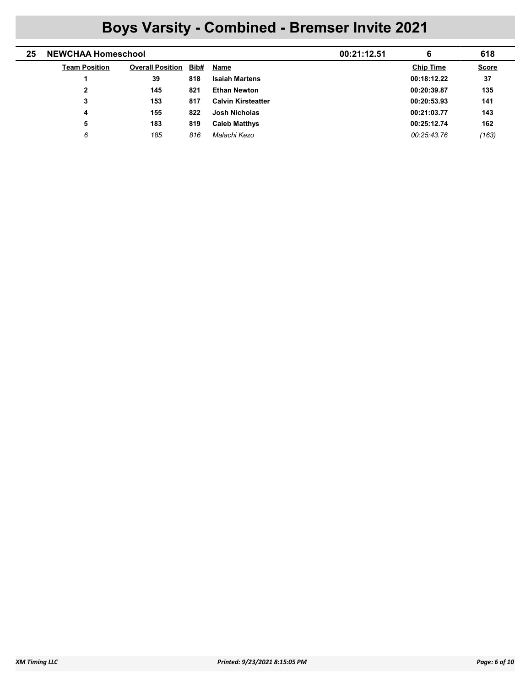| 25 | <b>NEWCHAA Homeschool</b> |                         |      | 00:21:12.51               | 6 | 618              |              |
|----|---------------------------|-------------------------|------|---------------------------|---|------------------|--------------|
|    | <b>Team Position</b>      | <b>Overall Position</b> | Bib# | Name                      |   | <b>Chip Time</b> | <b>Score</b> |
|    |                           | 39                      | 818  | <b>Isaiah Martens</b>     |   | 00:18:12.22      | 37           |
|    | $\mathbf{2}$              | 145                     | 821  | <b>Ethan Newton</b>       |   | 00:20:39.87      | 135          |
|    | 3                         | 153                     | 817  | <b>Calvin Kirsteatter</b> |   | 00:20:53.93      | 141          |
|    | 4                         | 155                     | 822  | Josh Nicholas             |   | 00:21:03.77      | 143          |
|    | 5                         | 183                     | 819  | <b>Caleb Matthys</b>      |   | 00:25:12.74      | 162          |
|    | 6                         | 185                     | 816  | Malachi Kezo              |   | 00:25:43.76      | (163)        |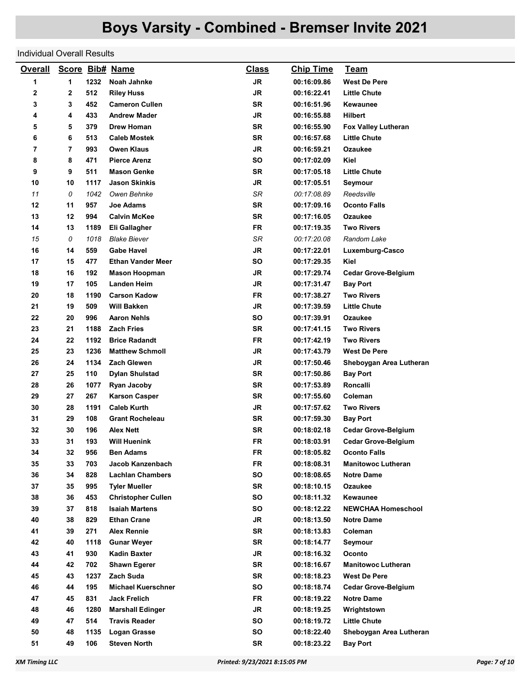#### Individual Overall Results

| <b>Overall</b> |    |      | Score Bib# Name           | <b>Class</b> | <b>Chip Time</b> | <u>Team</u>                |
|----------------|----|------|---------------------------|--------------|------------------|----------------------------|
| 1              | 1  | 1232 | Noah Jahnke               | <b>JR</b>    | 00:16:09.86      | <b>West De Pere</b>        |
| 2              | 2  | 512  | <b>Riley Huss</b>         | JR           | 00:16:22.41      | <b>Little Chute</b>        |
| 3              | 3  | 452  | <b>Cameron Cullen</b>     | <b>SR</b>    | 00:16:51.96      | Kewaunee                   |
| 4              | 4  | 433  | <b>Andrew Mader</b>       | <b>JR</b>    | 00:16:55.88      | <b>Hilbert</b>             |
| 5              | 5  | 379  | Drew Homan                | SR           | 00:16:55.90      | <b>Fox Valley Lutheran</b> |
| 6              | 6  | 513  | <b>Caleb Mostek</b>       | <b>SR</b>    | 00:16:57.68      | <b>Little Chute</b>        |
| 7              | 7  | 993  | <b>Owen Klaus</b>         | JR           | 00:16:59.21      | Ozaukee                    |
| 8              | 8  | 471  | <b>Pierce Arenz</b>       | SO           | 00:17:02.09      | Kiel                       |
| 9              | 9  | 511  | <b>Mason Genke</b>        | <b>SR</b>    | 00:17:05.18      | <b>Little Chute</b>        |
| 10             | 10 | 1117 | <b>Jason Skinkis</b>      | <b>JR</b>    | 00:17:05.51      | Seymour                    |
| 11             | 0  | 1042 | Owen Behnke               | SR           | 00:17:08.89      | Reedsville                 |
| 12             | 11 | 957  | Joe Adams                 | <b>SR</b>    | 00:17:09.16      | Oconto Falls               |
| 13             | 12 | 994  | <b>Calvin McKee</b>       | SR           | 00:17:16.05      | Ozaukee                    |
| 14             | 13 | 1189 | Eli Gallagher             | <b>FR</b>    | 00:17:19.35      | <b>Two Rivers</b>          |
| 15             | 0  | 1018 | <b>Blake Biever</b>       | SR           | 00:17:20.08      | Random Lake                |
| 16             | 14 | 559  | <b>Gabe Havel</b>         | <b>JR</b>    | 00:17:22.01      | Luxemburg-Casco            |
| 17             | 15 | 477  | <b>Ethan Vander Meer</b>  | SO           | 00:17:29.35      | Kiel                       |
| 18             | 16 | 192  | <b>Mason Hoopman</b>      | <b>JR</b>    | 00:17:29.74      | <b>Cedar Grove-Belgium</b> |
| 19             | 17 | 105  | <b>Landen Heim</b>        | <b>JR</b>    | 00:17:31.47      | <b>Bay Port</b>            |
| 20             | 18 | 1190 | <b>Carson Kadow</b>       | <b>FR</b>    | 00:17:38.27      | <b>Two Rivers</b>          |
| 21             | 19 | 509  | <b>Will Bakken</b>        | JR           | 00:17:39.59      | <b>Little Chute</b>        |
| 22             | 20 | 996  | <b>Aaron Nehls</b>        | SO           | 00:17:39.91      | Ozaukee                    |
| 23             | 21 | 1188 | <b>Zach Fries</b>         | <b>SR</b>    | 00:17:41.15      | <b>Two Rivers</b>          |
| 24             | 22 | 1192 | <b>Brice Radandt</b>      | FR           | 00:17:42.19      | <b>Two Rivers</b>          |
| 25             | 23 | 1236 | <b>Matthew Schmoll</b>    | JR           | 00:17:43.79      | <b>West De Pere</b>        |
| 26             | 24 | 1134 | <b>Zach Glewen</b>        | JR           | 00:17:50.46      | Sheboygan Area Lutheran    |
| 27             | 25 | 110  | <b>Dylan Shulstad</b>     | SR           | 00:17:50.86      | <b>Bay Port</b>            |
| 28             | 26 | 1077 | Ryan Jacoby               | SR           | 00:17:53.89      | Roncalli                   |
| 29             | 27 | 267  | <b>Karson Casper</b>      | <b>SR</b>    | 00:17:55.60      | Coleman                    |
| 30             | 28 | 1191 | <b>Caleb Kurth</b>        | <b>JR</b>    | 00:17:57.62      | Two Rivers                 |
| 31             | 29 | 108  | <b>Grant Rocheleau</b>    | <b>SR</b>    | 00:17:59.30      | <b>Bay Port</b>            |
| 32             | 30 | 196  | <b>Alex Nett</b>          | <b>SR</b>    | 00:18:02.18      | <b>Cedar Grove-Belgium</b> |
| 33             | 31 | 193  | <b>Will Huenink</b>       | FR           | 00:18:03.91      | <b>Cedar Grove-Belgium</b> |
| 34             | 32 | 956  | <b>Ben Adams</b>          | <b>FR</b>    | 00:18:05.82      | <b>Oconto Falls</b>        |
| 35             | 33 | 703  | Jacob Kanzenbach          | <b>FR</b>    | 00:18:08.31      | <b>Manitowoc Lutheran</b>  |
| 36             | 34 | 828  | <b>Lachlan Chambers</b>   | SO           | 00:18:08.65      | Notre Dame                 |
| 37             | 35 | 995  | <b>Tyler Mueller</b>      | SR           | 00:18:10.15      | Ozaukee                    |
| 38             | 36 | 453  | <b>Christopher Cullen</b> | <b>SO</b>    | 00:18:11.32      | Kewaunee                   |
| 39             | 37 | 818  | <b>Isaiah Martens</b>     | SO           | 00:18:12.22      | <b>NEWCHAA Homeschool</b>  |
| 40             | 38 | 829  | <b>Ethan Crane</b>        | <b>JR</b>    | 00:18:13.50      | Notre Dame                 |
| 41             | 39 | 271  | <b>Alex Rennie</b>        | SR           | 00:18:13.83      | Coleman                    |
| 42             | 40 | 1118 | <b>Gunar Weyer</b>        | SR           | 00:18:14.77      | Seymour                    |
| 43             | 41 | 930  | <b>Kadin Baxter</b>       | JR           | 00:18:16.32      | Oconto                     |
| 44             | 42 | 702  | <b>Shawn Egerer</b>       | SR           | 00:18:16.67      | <b>Manitowoc Lutheran</b>  |
| 45             | 43 | 1237 | Zach Suda                 | SR           | 00:18:18.23      | <b>West De Pere</b>        |
| 46             | 44 | 195  | <b>Michael Kuerschner</b> | SO           | 00:18:18.74      | <b>Cedar Grove-Belgium</b> |
| 47             | 45 | 831  | <b>Jack Frelich</b>       | <b>FR</b>    | 00:18:19.22      | <b>Notre Dame</b>          |
| 48             | 46 | 1280 | <b>Marshall Edinger</b>   | <b>JR</b>    | 00:18:19.25      | Wrightstown                |
| 49             | 47 | 514  | <b>Travis Reader</b>      | SO           | 00:18:19.72      | <b>Little Chute</b>        |
| 50             | 48 | 1135 | <b>Logan Grasse</b>       | SO           | 00:18:22.40      | Sheboygan Area Lutheran    |
| 51             | 49 | 106  | <b>Steven North</b>       | SR           | 00:18:23.22      | <b>Bay Port</b>            |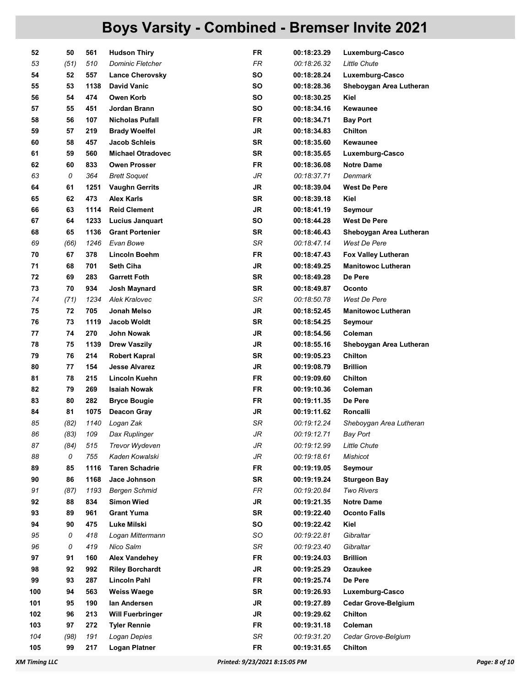| 52  | 50   | 561  | <b>Hudson Thiry</b>      | FR        | 00:18:23.29 | Luxemburg-Casco            |
|-----|------|------|--------------------------|-----------|-------------|----------------------------|
| 53  | (51) | 510  | <b>Dominic Fletcher</b>  | <b>FR</b> | 00:18:26.32 | Little Chute               |
| 54  | 52   | 557  | <b>Lance Cherovsky</b>   | <b>SO</b> | 00:18:28.24 | Luxemburg-Casco            |
| 55  | 53   | 1138 | <b>David Vanic</b>       | SO        | 00:18:28.36 | Sheboygan Area Lutheran    |
| 56  | 54   | 474  | Owen Korb                | <b>SO</b> | 00:18:30.25 | Kiel                       |
| 57  | 55   | 451  | Jordan Brann             | <b>SO</b> | 00:18:34.16 | Kewaunee                   |
| 58  | 56   | 107  | <b>Nicholas Pufall</b>   | <b>FR</b> | 00:18:34.71 | <b>Bay Port</b>            |
| 59  | 57   | 219  | <b>Brady Woelfel</b>     | JR        | 00:18:34.83 | Chilton                    |
| 60  | 58   | 457  | <b>Jacob Schleis</b>     | <b>SR</b> | 00:18:35.60 | <b>Kewaunee</b>            |
| 61  | 59   | 560  | <b>Michael Otradovec</b> | SR        | 00:18:35.65 |                            |
| 62  |      |      |                          | <b>FR</b> |             | Luxemburg-Casco            |
|     | 60   | 833  | <b>Owen Prosser</b>      |           | 00:18:36.08 | <b>Notre Dame</b>          |
| 63  | 0    | 364  | <b>Brett Soquet</b>      | JR        | 00:18:37.71 | Denmark                    |
| 64  | 61   | 1251 | <b>Vaughn Gerrits</b>    | JR        | 00:18:39.04 | <b>West De Pere</b>        |
| 65  | 62   | 473  | Alex Karls               | <b>SR</b> | 00:18:39.18 | Kiel                       |
| 66  | 63   | 1114 | <b>Reid Clement</b>      | <b>JR</b> | 00:18:41.19 | Seymour                    |
| 67  | 64   | 1233 | <b>Lucius Janquart</b>   | <b>SO</b> | 00:18:44.28 | <b>West De Pere</b>        |
| 68  | 65   | 1136 | <b>Grant Portenier</b>   | SR        | 00:18:46.43 | Sheboygan Area Lutheran    |
| 69  | (66) | 1246 | Evan Bowe                | SR        | 00:18:47.14 | West De Pere               |
| 70  | 67   | 378  | <b>Lincoln Boehm</b>     | <b>FR</b> | 00:18:47.43 | <b>Fox Valley Lutheran</b> |
| 71  | 68   | 701  | <b>Seth Ciha</b>         | JR        | 00:18:49.25 | <b>Manitowoc Lutheran</b>  |
| 72  | 69   | 283  | <b>Garrett Foth</b>      | SR        | 00:18:49.28 | De Pere                    |
| 73  | 70   | 934  | Josh Maynard             | <b>SR</b> | 00:18:49.87 | Oconto                     |
| 74  | (71) | 1234 | Alek Kralovec            | SR        | 00:18:50.78 | West De Pere               |
| 75  | 72   | 705  | Jonah Melso              | <b>JR</b> | 00:18:52.45 | <b>Manitowoc Lutheran</b>  |
| 76  | 73   | 1119 | <b>Jacob Woldt</b>       | <b>SR</b> | 00:18:54.25 | Seymour                    |
| 77  | 74   | 270  | John Nowak               | JR        | 00:18:54.56 | Coleman                    |
| 78  | 75   | 1139 | <b>Drew Vaszily</b>      | JR        | 00:18:55.16 | Sheboygan Area Lutheran    |
| 79  | 76   | 214  | <b>Robert Kapral</b>     | SR        | 00:19:05.23 | <b>Chilton</b>             |
| 80  | 77   | 154  | <b>Jesse Alvarez</b>     | JR        | 00:19:08.79 | <b>Brillion</b>            |
| 81  | 78   | 215  | Lincoln Kuehn            | FR        | 00:19:09.60 | <b>Chilton</b>             |
| 82  | 79   | 269  | <b>Isaiah Nowak</b>      | <b>FR</b> | 00:19:10.36 | Coleman                    |
| 83  | 80   | 282  | <b>Bryce Bougie</b>      | FR.       | 00:19:11.35 | De Pere                    |
| 84  | 81   | 1075 | <b>Deacon Gray</b>       | JR        | 00:19:11.62 | Roncalli                   |
| 85  | (82) | 1140 | Logan Zak                | SR        | 00:19:12.24 | Sheboygan Area Lutheran    |
| 86  | (83) | 109  | Dax Ruplinger            | JR        | 00:19:12.71 | Bay Port                   |
| 87  | (84) | 515  | <b>Trevor Wydeven</b>    | JR        | 00:19:12.99 | Little Chute               |
| 88  | 0    | 755  | Kaden Kowalski           | JR        | 00:19:18.61 | <b>Mishicot</b>            |
| 89  | 85   | 1116 | <b>Taren Schadrie</b>    | <b>FR</b> | 00:19:19.05 | Seymour                    |
| 90  | 86   | 1168 | Jace Johnson             | <b>SR</b> | 00:19:19.24 | <b>Sturgeon Bay</b>        |
| 91  | (87) | 1193 | <b>Bergen Schmid</b>     | FR        | 00:19:20.84 | <b>Two Rivers</b>          |
| 92  | 88   | 834  | <b>Simon Wied</b>        | JR        | 00:19:21.35 | <b>Notre Dame</b>          |
| 93  | 89   | 961  | <b>Grant Yuma</b>        | SR        | 00:19:22.40 | <b>Oconto Falls</b>        |
| 94  | 90   | 475  | Luke Milski              | <b>SO</b> | 00:19:22.42 | Kiel                       |
| 95  | 0    | 418  | Logan Mittermann         | SO        | 00:19:22.81 | Gibraltar                  |
| 96  | 0    | 419  | Nico Salm                | SR        | 00:19:23.40 | Gibraltar                  |
| 97  | 91   | 160  | <b>Alex Vandehey</b>     | <b>FR</b> | 00:19:24.03 | <b>Brillion</b>            |
| 98  | 92   | 992  | <b>Riley Borchardt</b>   | <b>JR</b> | 00:19:25.29 | Ozaukee                    |
| 99  | 93   | 287  | <b>Lincoln Pahl</b>      | <b>FR</b> | 00:19:25.74 | De Pere                    |
| 100 | 94   | 563  | <b>Weiss Waege</b>       | <b>SR</b> | 00:19:26.93 | Luxemburg-Casco            |
| 101 | 95   | 190  | lan Andersen             | JR        | 00:19:27.89 | <b>Cedar Grove-Belgium</b> |
| 102 | 96   | 213  | <b>Will Fuerbringer</b>  | JR        | 00:19:29.62 | Chilton                    |
| 103 | 97   | 272  | <b>Tyler Rennie</b>      | <b>FR</b> | 00:19:31.18 | Coleman                    |
| 104 | (98) | 191  | Logan Depies             | SR        | 00:19:31.20 | Cedar Grove-Belgium        |
|     | 99   | 217  | <b>Logan Platner</b>     | FR        | 00:19:31.65 | Chilton                    |
| 105 |      |      |                          |           |             |                            |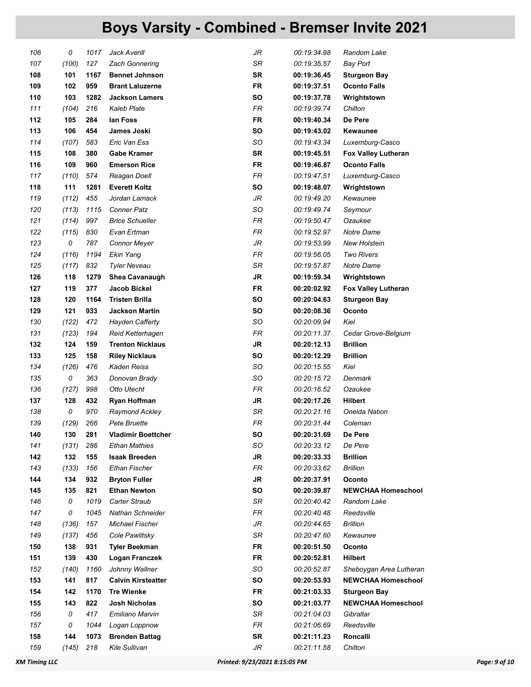| 106 | 0     | 1017 | Jack Averill              | JR        | 00:19:34.98 | Random Lake                |
|-----|-------|------|---------------------------|-----------|-------------|----------------------------|
| 107 | (100) | 127  | <b>Zach Gonnering</b>     | SR        | 00:19:35.57 | <b>Bay Port</b>            |
| 108 | 101   | 1167 | <b>Bennet Johnson</b>     | <b>SR</b> | 00:19:36.45 | <b>Sturgeon Bay</b>        |
| 109 | 102   | 959  | <b>Brant Laluzerne</b>    | <b>FR</b> | 00:19:37.51 | <b>Oconto Falls</b>        |
| 110 | 103   | 1282 | <b>Jackson Lamers</b>     | <b>SO</b> | 00:19:37.78 | Wrightstown                |
| 111 | (104) | 216  | <b>Kaleb Plate</b>        | <b>FR</b> | 00:19:39.74 | Chilton                    |
| 112 | 105   | 284  | lan Foss                  | <b>FR</b> | 00:19:40.34 | De Pere                    |
| 113 | 106   | 454  | James Joski               | <b>SO</b> | 00:19:43.02 | Kewaunee                   |
| 114 | (107) | 583  | Eric Van Ess              | SO        | 00:19:43.34 | Luxemburg-Casco            |
| 115 | 108   | 380  | <b>Gabe Kramer</b>        | <b>SR</b> | 00:19:45.51 | <b>Fox Valley Lutheran</b> |
| 116 | 109   | 960  | <b>Emerson Rice</b>       | <b>FR</b> | 00:19:46.87 | <b>Oconto Falls</b>        |
| 117 | (110) | 574  | Reagan Doell              | <b>FR</b> | 00:19:47.51 | Luxemburg-Casco            |
| 118 | 111   | 1281 | <b>Everett Koltz</b>      | <b>SO</b> | 00:19:48.07 | Wrightstown                |
| 119 | (112) | 455  | Jordan Lamack             | JR        | 00:19:49.20 | Kewaunee                   |
| 120 | (113) | 1115 | <b>Conner Patz</b>        | SO        | 00:19:49.74 | Seymour                    |
| 121 | (114) | 997  | <b>Brice Schueller</b>    | <b>FR</b> | 00:19:50.47 | Ozaukee                    |
| 122 | (115) | 830  | Evan Ertman               | <b>FR</b> | 00:19:52.97 | Notre Dame                 |
| 123 | 0     | 787  | Connor Meyer              | JR        | 00:19:53.99 | New Holstein               |
| 124 | (116) | 1194 | Ekin Yang                 | <b>FR</b> | 00:19:56.05 | <b>Two Rivers</b>          |
| 125 | (117) | 832  | Tyler Neveau              | SR        | 00:19:57.87 | Notre Dame                 |
| 126 | 118   | 1279 | Shea Cavanaugh            | <b>JR</b> | 00:19:59.34 | Wrightstown                |
| 127 | 119   | 377  | <b>Jacob Bickel</b>       | <b>FR</b> | 00:20:02.92 | <b>Fox Valley Lutheran</b> |
| 128 | 120   | 1164 | <b>Tristen Brilla</b>     | <b>SO</b> | 00:20:04.63 | <b>Sturgeon Bay</b>        |
| 129 | 121   | 933  | <b>Jackson Martin</b>     | <b>SO</b> | 00:20:08.36 | Oconto                     |
| 130 | (122) | 472  | <b>Hayden Cafferty</b>    | SO        | 00:20:09.94 | Kiel                       |
| 131 | (123) | 194  | Reid Ketterhagen          | <b>FR</b> | 00:20:11.37 | Cedar Grove-Belgium        |
| 132 | 124   | 159  | <b>Trenton Nicklaus</b>   | <b>JR</b> | 00:20:12.13 | <b>Brillion</b>            |
| 133 | 125   | 158  | <b>Riley Nicklaus</b>     | SO        | 00:20:12.29 | <b>Brillion</b>            |
| 134 | (126) | 476  | Kaden Reiss               | SO        | 00:20:15.55 | Kiel                       |
| 135 | 0     | 363  | Donovan Brady             | SO        | 00:20:15.72 | Denmark                    |
| 136 | (127) | 998  | Otto Utecht               | <b>FR</b> | 00:20:16.52 | Ozaukee                    |
| 137 | 128   | 432  | Ryan Hoffman              | <b>JR</b> | 00:20:17.26 | <b>Hilbert</b>             |
| 138 | 0     | 970  | Raymond Ackley            | SR        | 00:20:21.16 | Oneida Nation              |
| 139 | (129) | 266  | Pete Bruette              | FR        | 00:20:31.44 | Coleman                    |
| 140 | 130   | 281  | <b>Vladimir Boettcher</b> | SO        | 00:20:31.69 | De Pere                    |
| 141 | (131) | 286  | Ethan Mathies             | SO        | 00:20:33.12 | De Pere                    |
| 142 | 132   | 155  | <b>Isaak Breeden</b>      | <b>JR</b> | 00:20:33.33 | <b>Brillion</b>            |
| 143 | (133) | 156  | Ethan Fischer             | FR        | 00:20:33.62 | <b>Brillion</b>            |
| 144 | 134   | 932  | <b>Bryton Fuller</b>      | <b>JR</b> | 00:20:37.91 | Oconto                     |
| 145 | 135   | 821  | <b>Ethan Newton</b>       | SO        | 00:20:39.87 | <b>NEWCHAA Homeschool</b>  |
| 146 | 0     | 1019 | Carter Straub             | SR        | 00:20:40.42 | Random Lake                |
| 147 | 0     | 1045 | Nathan Schneider          | FR        | 00:20:40.48 | Reedsville                 |
| 148 | (136) | 157  | <b>Michael Fischer</b>    | JR        | 00:20:44.65 | <b>Brillion</b>            |
| 149 | (137) | 456  | Cole Pawlitsky            | SR        | 00:20:47.60 | Kewaunee                   |
| 150 | 138   | 931  | <b>Tyler Beekman</b>      | <b>FR</b> | 00:20:51.50 | Oconto                     |
| 151 | 139   | 430  | Logan Franczek            | <b>FR</b> | 00:20:52.81 | <b>Hilbert</b>             |
| 152 | (140) | 1160 | Johnny Wallner            | SO        | 00:20:52.87 | Sheboygan Area Lutheran    |
| 153 | 141   | 817  | <b>Calvin Kirsteatter</b> | SO        | 00:20:53.93 | <b>NEWCHAA Homeschool</b>  |
| 154 | 142   | 1170 | <b>Tre Wienke</b>         | <b>FR</b> | 00:21:03.33 | <b>Sturgeon Bay</b>        |
| 155 | 143   | 822  | Josh Nicholas             | SO        | 00:21:03.77 | <b>NEWCHAA Homeschool</b>  |
| 156 | 0     | 417  | Emiliano Marvin           | SR        | 00:21:04.03 | Gibraltar                  |
| 157 | 0     | 1044 | Logan Loppnow             | FR        | 00:21:06.69 | Reedsville                 |
| 158 | 144   | 1073 | <b>Brenden Battag</b>     | <b>SR</b> | 00:21:11.23 | Roncalli                   |
| 159 | (145) | 218  | Kile Sullivan             | JR        | 00:21:11.58 | Chilton                    |